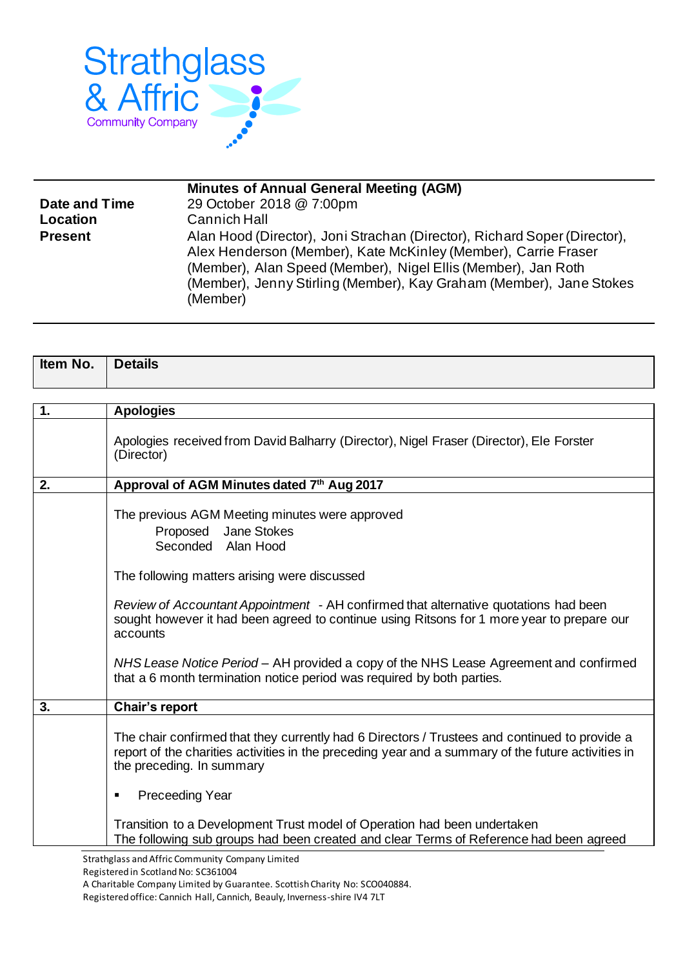

|                | <b>Minutes of Annual General Meeting (AGM)</b>                                                                                                                                                                                                                                                  |
|----------------|-------------------------------------------------------------------------------------------------------------------------------------------------------------------------------------------------------------------------------------------------------------------------------------------------|
| Date and Time  | 29 October 2018 @ 7:00pm                                                                                                                                                                                                                                                                        |
| Location       | <b>Cannich Hall</b>                                                                                                                                                                                                                                                                             |
| <b>Present</b> | Alan Hood (Director), Joni Strachan (Director), Richard Soper (Director),<br>Alex Henderson (Member), Kate McKinley (Member), Carrie Fraser<br>(Member), Alan Speed (Member), Nigel Ellis (Member), Jan Roth<br>(Member), Jenny Stirling (Member), Kay Graham (Member), Jane Stokes<br>(Member) |

| Item No. | <b>Details</b> |
|----------|----------------|
|          |                |

| 1. | <b>Apologies</b>                                                                                                                                                                                                                 |
|----|----------------------------------------------------------------------------------------------------------------------------------------------------------------------------------------------------------------------------------|
|    | Apologies received from David Balharry (Director), Nigel Fraser (Director), Ele Forster<br>(Director)                                                                                                                            |
| 2. | Approval of AGM Minutes dated 7th Aug 2017                                                                                                                                                                                       |
|    | The previous AGM Meeting minutes were approved<br>Jane Stokes<br>Proposed<br>Seconded Alan Hood<br>The following matters arising were discussed                                                                                  |
|    | Review of Accountant Appointment - AH confirmed that alternative quotations had been<br>sought however it had been agreed to continue using Ritsons for 1 more year to prepare our<br>accounts                                   |
|    | NHS Lease Notice Period - AH provided a copy of the NHS Lease Agreement and confirmed<br>that a 6 month termination notice period was required by both parties.                                                                  |
| 3. | Chair's report                                                                                                                                                                                                                   |
|    | The chair confirmed that they currently had 6 Directors / Trustees and continued to provide a<br>report of the charities activities in the preceding year and a summary of the future activities in<br>the preceding. In summary |
|    | <b>Preceeding Year</b><br>٠                                                                                                                                                                                                      |
|    | Transition to a Development Trust model of Operation had been undertaken<br>The following sub groups had been created and clear Terms of Reference had been agreed                                                               |
|    | Strathglass and Affric Community Company Limited                                                                                                                                                                                 |

A Charitable Company Limited by Guarantee. Scottish Charity No: SCO040884.

Registered office: Cannich Hall, Cannich, Beauly, Inverness-shire IV4 7LT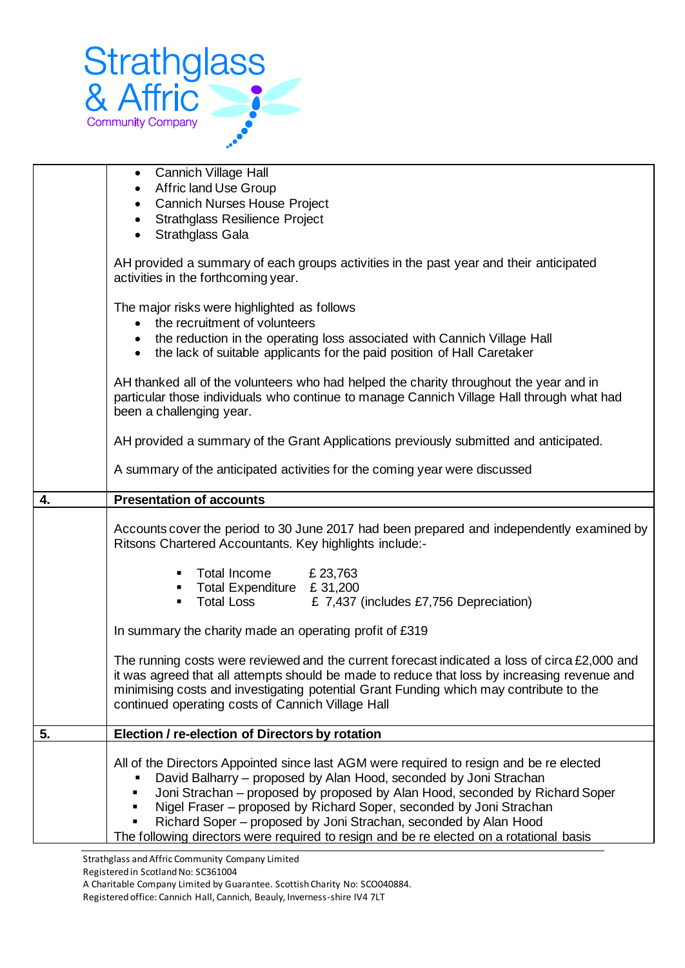

|    | <b>Cannich Village Hall</b><br>$\bullet$<br>Affric land Use Group                                                                                                                                                                                                                                                                                                                       |
|----|-----------------------------------------------------------------------------------------------------------------------------------------------------------------------------------------------------------------------------------------------------------------------------------------------------------------------------------------------------------------------------------------|
|    | <b>Cannich Nurses House Project</b><br>٠                                                                                                                                                                                                                                                                                                                                                |
|    | <b>Strathglass Resilience Project</b><br>$\bullet$                                                                                                                                                                                                                                                                                                                                      |
|    | Strathglass Gala<br>$\bullet$                                                                                                                                                                                                                                                                                                                                                           |
|    | AH provided a summary of each groups activities in the past year and their anticipated<br>activities in the forthcoming year.                                                                                                                                                                                                                                                           |
|    | The major risks were highlighted as follows<br>the recruitment of volunteers<br>the reduction in the operating loss associated with Cannich Village Hall                                                                                                                                                                                                                                |
|    | $\bullet$<br>the lack of suitable applicants for the paid position of Hall Caretaker<br>$\bullet$                                                                                                                                                                                                                                                                                       |
|    | AH thanked all of the volunteers who had helped the charity throughout the year and in<br>particular those individuals who continue to manage Cannich Village Hall through what had<br>been a challenging year.                                                                                                                                                                         |
|    | AH provided a summary of the Grant Applications previously submitted and anticipated.                                                                                                                                                                                                                                                                                                   |
|    | A summary of the anticipated activities for the coming year were discussed                                                                                                                                                                                                                                                                                                              |
| 4. | <b>Presentation of accounts</b>                                                                                                                                                                                                                                                                                                                                                         |
|    | Accounts cover the period to 30 June 2017 had been prepared and independently examined by<br>Ritsons Chartered Accountants. Key highlights include:-                                                                                                                                                                                                                                    |
|    | Total Income<br>£ 23,763                                                                                                                                                                                                                                                                                                                                                                |
|    | " Total Expenditure £ 31,200                                                                                                                                                                                                                                                                                                                                                            |
|    | Total Loss E 7,437 (includes £7,756 Depreciation)<br>٠                                                                                                                                                                                                                                                                                                                                  |
|    | In summary the charity made an operating profit of £319                                                                                                                                                                                                                                                                                                                                 |
|    | The running costs were reviewed and the current forecast indicated a loss of circa $£2,000$ and<br>it was agreed that all attempts should be made to reduce that loss by increasing revenue and<br>minimising costs and investigating potential Grant Funding which may contribute to the<br>continued operating costs of Cannich Village Hall                                          |
| 5. | Election / re-election of Directors by rotation                                                                                                                                                                                                                                                                                                                                         |
|    | All of the Directors Appointed since last AGM were required to resign and be re elected<br>David Balharry – proposed by Alan Hood, seconded by Joni Strachan<br>Joni Strachan – proposed by proposed by Alan Hood, seconded by Richard Soper<br>Nigel Fraser – proposed by Richard Soper, seconded by Joni Strachan<br>Richard Soper – proposed by Joni Strachan, seconded by Alan Hood |
|    | The following directors were required to resign and be re elected on a rotational basis                                                                                                                                                                                                                                                                                                 |
|    | Strathglass and Affric Community Company Limited                                                                                                                                                                                                                                                                                                                                        |

Registered in Scotland No: SC361004

A Charitable Company Limited by Guarantee. Scottish Charity No: SCO040884.

Registered office: Cannich Hall, Cannich, Beauly, Inverness-shire IV4 7LT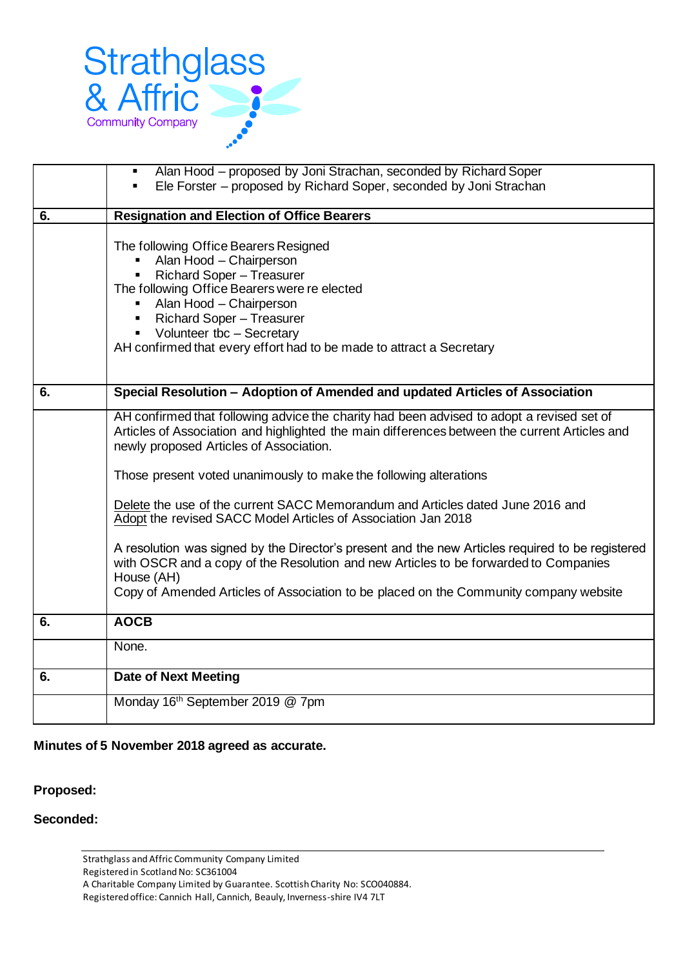

|    | Alan Hood – proposed by Joni Strachan, seconded by Richard Soper<br>$\blacksquare$                                                                                                                                                                                                                                                 |
|----|------------------------------------------------------------------------------------------------------------------------------------------------------------------------------------------------------------------------------------------------------------------------------------------------------------------------------------|
|    | Ele Forster - proposed by Richard Soper, seconded by Joni Strachan                                                                                                                                                                                                                                                                 |
|    |                                                                                                                                                                                                                                                                                                                                    |
| 6. | <b>Resignation and Election of Office Bearers</b>                                                                                                                                                                                                                                                                                  |
|    | The following Office Bearers Resigned<br>Alan Hood - Chairperson<br><b>Richard Soper - Treasurer</b><br>The following Office Bearers were re elected<br>Alan Hood - Chairperson<br><b>Richard Soper - Treasurer</b><br>٠<br>Volunteer tbc - Secretary<br>٠<br>AH confirmed that every effort had to be made to attract a Secretary |
| 6. | Special Resolution - Adoption of Amended and updated Articles of Association                                                                                                                                                                                                                                                       |
|    | AH confirmed that following advice the charity had been advised to adopt a revised set of<br>Articles of Association and highlighted the main differences between the current Articles and<br>newly proposed Articles of Association.                                                                                              |
|    | Those present voted unanimously to make the following alterations                                                                                                                                                                                                                                                                  |
|    | Delete the use of the current SACC Memorandum and Articles dated June 2016 and<br>Adopt the revised SACC Model Articles of Association Jan 2018                                                                                                                                                                                    |
|    | A resolution was signed by the Director's present and the new Articles required to be registered<br>with OSCR and a copy of the Resolution and new Articles to be forwarded to Companies<br>House (AH)<br>Copy of Amended Articles of Association to be placed on the Community company website                                    |
|    |                                                                                                                                                                                                                                                                                                                                    |
| 6. | <b>AOCB</b>                                                                                                                                                                                                                                                                                                                        |
|    | None.                                                                                                                                                                                                                                                                                                                              |
| 6. | <b>Date of Next Meeting</b>                                                                                                                                                                                                                                                                                                        |
|    | Monday 16th September 2019 @ 7pm                                                                                                                                                                                                                                                                                                   |

## **Minutes of 5 November 2018 agreed as accurate.**

## **Proposed:**

## **Seconded:**